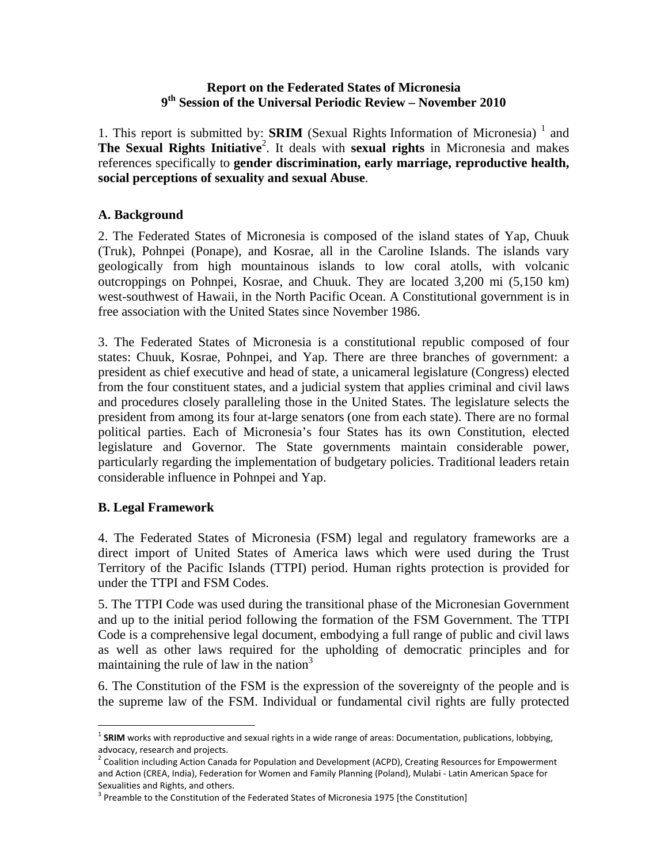#### **Report on the Federated States of Micronesia 9th Session of the Universal Periodic Review – November 2010**

1. This report is submitted by: **SRIM** (Sexual Rights Information of Micronesia)  $\frac{1}{1}$  and The Sexual Rights Initiative<sup>2</sup>. It deals with sexual rights in Micronesia and makes references specifically to **gender discrimination, early marriage, reproductive health, social perceptions of sexuality and sexual Abuse**.

#### **A. Background**

2. The Federated States of Micronesia is composed of the island states of Yap, Chuuk (Truk), Pohnpei (Ponape), and Kosrae, all in the Caroline Islands. The islands vary geologically from high mountainous islands to low coral atolls, with volcanic outcroppings on Pohnpei, Kosrae, and Chuuk. They are located 3,200 mi (5,150 km) west-southwest of Hawaii, in the North Pacific Ocean. A Constitutional government is in free association with the United States since November 1986.

3. The Federated States of Micronesia is a constitutional republic composed of four states: Chuuk, Kosrae, Pohnpei, and Yap. There are three branches of government: a president as chief executive and head of state, a unicameral legislature (Congress) elected from the four constituent states, and a judicial system that applies criminal and civil laws and procedures closely paralleling those in the United States. The legislature selects the president from among its four at-large senators (one from each state). There are no formal political parties. Each of Micronesia's four States has its own Constitution, elected legislature and Governor. The State governments maintain considerable power, particularly regarding the implementation of budgetary policies. Traditional leaders retain considerable influence in Pohnpei and Yap.

#### **B. Legal Framework**

 $\overline{a}$ 

4. The Federated States of Micronesia (FSM) legal and regulatory frameworks are a direct import of United States of America laws which were used during the Trust Territory of the Pacific Islands (TTPI) period. Human rights protection is provided for under the TTPI and FSM Codes.

5. The TTPI Code was used during the transitional phase of the Micronesian Government and up to the initial period following the formation of the FSM Government. The TTPI Code is a comprehensive legal document, embodying a full range of public and civil laws as well as other laws required for the upholding of democratic principles and for maintaining the rule of law in the nation $3$ 

6. The Constitution of the FSM is the expression of the sovereignty of the people and is the supreme law of the FSM. Individual or fundamental civil rights are fully protected

<sup>&</sup>lt;sup>1</sup> SRIM works with reproductive and sexual rights in a wide range of areas: Documentation, publications, lobbying, advocacy, research and projects.

 $^2$  Coalition including Action Canada for Population and Development (ACPD), Creating Resources for Empowerment and Action (CREA, India), Federation for Women and Family Planning (Poland), Mulabi ‐ Latin American Space for Sexualities and Rights, and others.<br><sup>3</sup> Preamble to the Constitution of the Federated States of Micronesia 1975 [the Constitution]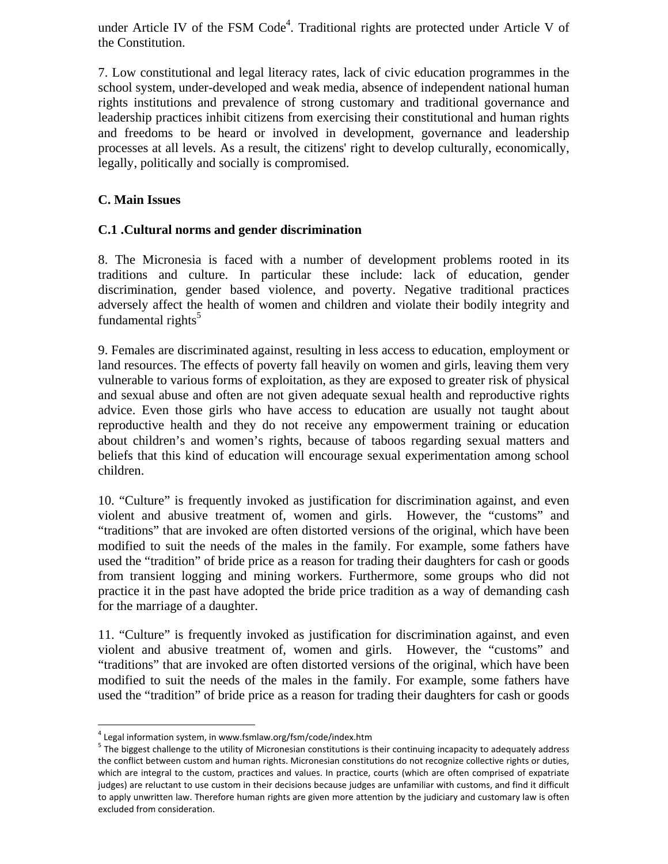under Article IV of the FSM  $Code<sup>4</sup>$ . Traditional rights are protected under Article V of the Constitution.

7. Low constitutional and legal literacy rates, lack of civic education programmes in the school system, under-developed and weak media, absence of independent national human rights institutions and prevalence of strong customary and traditional governance and leadership practices inhibit citizens from exercising their constitutional and human rights and freedoms to be heard or involved in development, governance and leadership processes at all levels. As a result, the citizens' right to develop culturally, economically, legally, politically and socially is compromised.

## **C. Main Issues**

## **C.1 .Cultural norms and gender discrimination**

8. The Micronesia is faced with a number of development problems rooted in its traditions and culture. In particular these include: lack of education, gender discrimination, gender based violence, and poverty. Negative traditional practices adversely affect the health of women and children and violate their bodily integrity and fundamental rights $5$ 

9. Females are discriminated against, resulting in less access to education, employment or land resources. The effects of poverty fall heavily on women and girls, leaving them very vulnerable to various forms of exploitation, as they are exposed to greater risk of physical and sexual abuse and often are not given adequate sexual health and reproductive rights advice. Even those girls who have access to education are usually not taught about reproductive health and they do not receive any empowerment training or education about children's and women's rights, because of taboos regarding sexual matters and beliefs that this kind of education will encourage sexual experimentation among school children.

10. "Culture" is frequently invoked as justification for discrimination against, and even violent and abusive treatment of, women and girls. However, the "customs" and "traditions" that are invoked are often distorted versions of the original, which have been modified to suit the needs of the males in the family. For example, some fathers have used the "tradition" of bride price as a reason for trading their daughters for cash or goods from transient logging and mining workers. Furthermore, some groups who did not practice it in the past have adopted the bride price tradition as a way of demanding cash for the marriage of a daughter.

11. "Culture" is frequently invoked as justification for discrimination against, and even violent and abusive treatment of, women and girls. However, the "customs" and "traditions" that are invoked are often distorted versions of the original, which have been modified to suit the needs of the males in the family. For example, some fathers have used the "tradition" of bride price as a reason for trading their daughters for cash or goods

<sup>1</sup> 

<sup>&</sup>lt;sup>4</sup> Legal information system, in www.fsmlaw.org/fsm/code/index.htm<br> $5$  The biggest challenge to the utility of Micronesian constitutions is their continuing incapacity to adequately address the conflict between custom and human rights. Micronesian constitutions do not recognize collective rights or duties, which are integral to the custom, practices and values. In practice, courts (which are often comprised of expatriate judges) are reluctant to use custom in their decisions because judges are unfamiliar with customs, and find it difficult to apply unwritten law. Therefore human rights are given more attention by the judiciary and customary law is often excluded from consideration.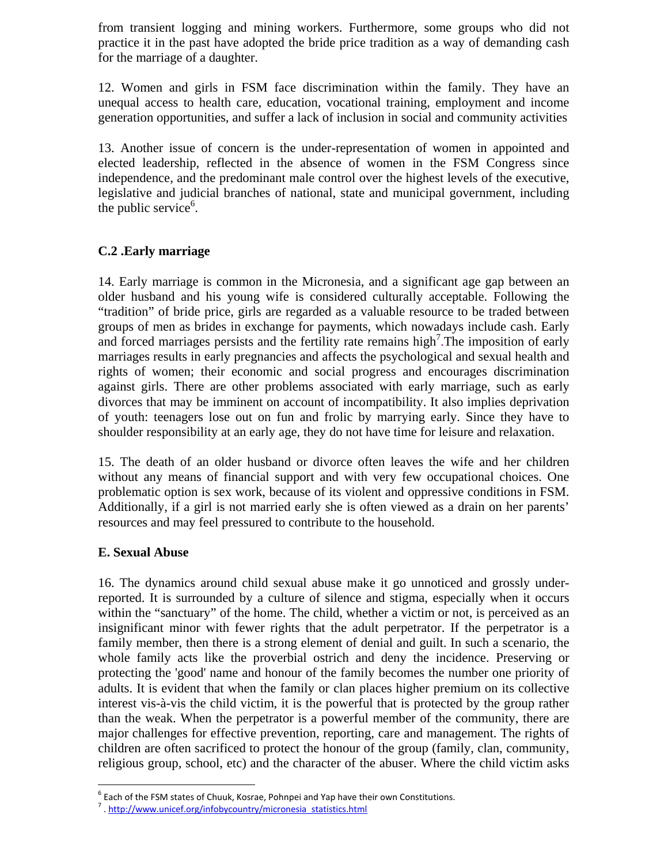from transient logging and mining workers. Furthermore, some groups who did not practice it in the past have adopted the bride price tradition as a way of demanding cash for the marriage of a daughter.

12. Women and girls in FSM face discrimination within the family. They have an unequal access to health care, education, vocational training, employment and income generation opportunities, and suffer a lack of inclusion in social and community activities

13. Another issue of concern is the under-representation of women in appointed and elected leadership, reflected in the absence of women in the FSM Congress since independence, and the predominant male control over the highest levels of the executive, legislative and judicial branches of national, state and municipal government, including the public service $6$ .

# **C.2 .Early marriage**

14. Early marriage is common in the Micronesia, and a significant age gap between an older husband and his young wife is considered culturally acceptable. Following the "tradition" of bride price, girls are regarded as a valuable resource to be traded between groups of men as brides in exchange for payments, which nowadays include cash. Early and forced marriages persists and the fertility rate remains high<sup>7</sup>. The imposition of early marriages results in early pregnancies and affects the psychological and sexual health and rights of women; their economic and social progress and encourages discrimination against girls. There are other problems associated with early marriage, such as early divorces that may be imminent on account of incompatibility. It also implies deprivation of youth: teenagers lose out on fun and frolic by marrying early. Since they have to shoulder responsibility at an early age, they do not have time for leisure and relaxation.

15. The death of an older husband or divorce often leaves the wife and her children without any means of financial support and with very few occupational choices. One problematic option is sex work, because of its violent and oppressive conditions in FSM. Additionally, if a girl is not married early she is often viewed as a drain on her parents' resources and may feel pressured to contribute to the household.

## **E. Sexual Abuse**

 $\overline{a}$ 

16. The dynamics around child sexual abuse make it go unnoticed and grossly underreported. It is surrounded by a culture of silence and stigma, especially when it occurs within the "sanctuary" of the home. The child, whether a victim or not, is perceived as an insignificant minor with fewer rights that the adult perpetrator. If the perpetrator is a family member, then there is a strong element of denial and guilt. In such a scenario, the whole family acts like the proverbial ostrich and deny the incidence. Preserving or protecting the 'good' name and honour of the family becomes the number one priority of adults. It is evident that when the family or clan places higher premium on its collective interest vis-à-vis the child victim, it is the powerful that is protected by the group rather than the weak. When the perpetrator is a powerful member of the community, there are major challenges for effective prevention, reporting, care and management. The rights of children are often sacrificed to protect the honour of the group (family, clan, community, religious group, school, etc) and the character of the abuser. Where the child victim asks

<sup>&</sup>lt;sup>6</sup> Each of the FSM states of Chuuk, Kosrae, Pohnpei and Yap have their own Constitutions.<br><sup>7</sup> . http://www.unicef.org/infobycountry/micronesia\_statistics.html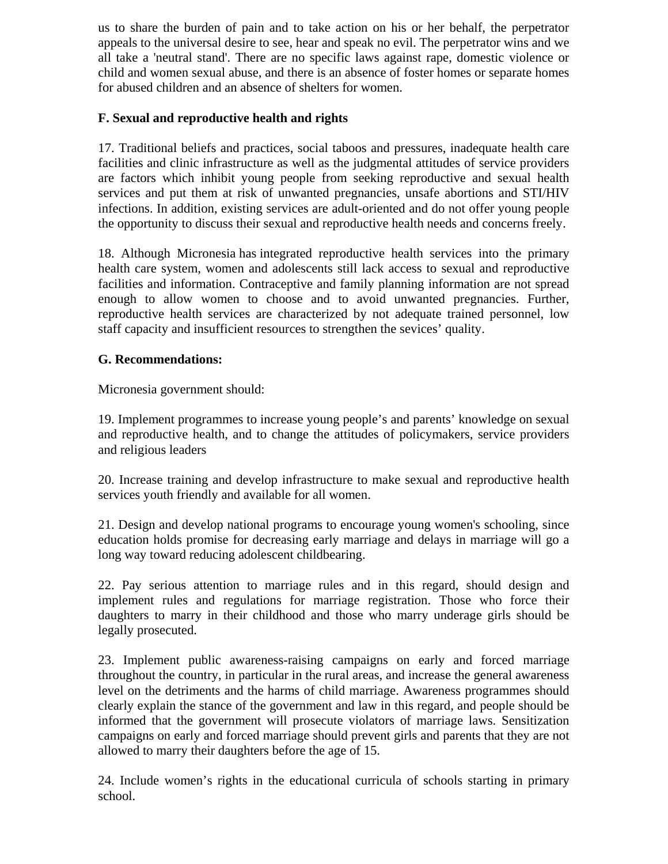us to share the burden of pain and to take action on his or her behalf, the perpetrator appeals to the universal desire to see, hear and speak no evil. The perpetrator wins and we all take a 'neutral stand'. There are no specific laws against rape, domestic violence or child and women sexual abuse, and there is an absence of foster homes or separate homes for abused children and an absence of shelters for women.

# **F. Sexual and reproductive health and rights**

17. Traditional beliefs and practices, social taboos and pressures, inadequate health care facilities and clinic infrastructure as well as the judgmental attitudes of service providers are factors which inhibit young people from seeking reproductive and sexual health services and put them at risk of unwanted pregnancies, unsafe abortions and STI/HIV infections. In addition, existing services are adult-oriented and do not offer young people the opportunity to discuss their sexual and reproductive health needs and concerns freely.

18. Although Micronesia has integrated reproductive health services into the primary health care system, women and adolescents still lack access to sexual and reproductive facilities and information. Contraceptive and family planning information are not spread enough to allow women to choose and to avoid unwanted pregnancies. Further, reproductive health services are characterized by not adequate trained personnel, low staff capacity and insufficient resources to strengthen the sevices' quality.

## **G. Recommendations:**

Micronesia government should:

19. Implement programmes to increase young people's and parents' knowledge on sexual and reproductive health, and to change the attitudes of policymakers, service providers and religious leaders

20. Increase training and develop infrastructure to make sexual and reproductive health services youth friendly and available for all women.

21. Design and develop national programs to encourage young women's schooling, since education holds promise for decreasing early marriage and delays in marriage will go a long way toward reducing adolescent childbearing.

22. Pay serious attention to marriage rules and in this regard, should design and implement rules and regulations for marriage registration. Those who force their daughters to marry in their childhood and those who marry underage girls should be legally prosecuted.

23. Implement public awareness-raising campaigns on early and forced marriage throughout the country, in particular in the rural areas, and increase the general awareness level on the detriments and the harms of child marriage. Awareness programmes should clearly explain the stance of the government and law in this regard, and people should be informed that the government will prosecute violators of marriage laws. Sensitization campaigns on early and forced marriage should prevent girls and parents that they are not allowed to marry their daughters before the age of 15.

24. Include women's rights in the educational curricula of schools starting in primary school.